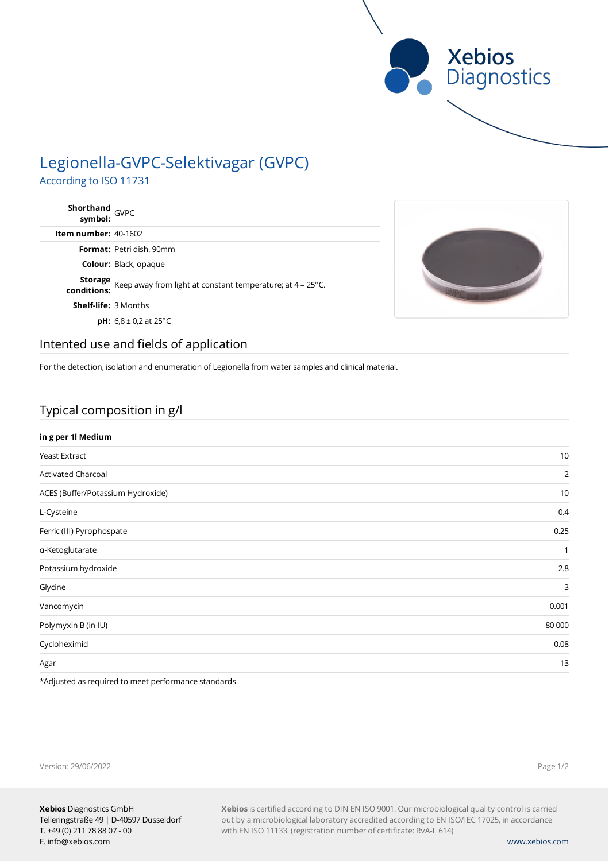

# Legionella-GVPC-Selektivagar (GVPC) According to ISO 11731

| Shorthand<br>symbol: GVPC |                                                                                     |  |
|---------------------------|-------------------------------------------------------------------------------------|--|
| Item number: 40-1602      |                                                                                     |  |
|                           | Format: Petri dish, 90mm                                                            |  |
|                           | <b>Colour: Black, opaque</b>                                                        |  |
| conditions:               | <b>Storage</b> Keep away from light at constant temperature; at $4 - 25^{\circ}$ C. |  |
|                           | <b>Shelf-life: 3 Months</b>                                                         |  |
|                           | <b>pH:</b> $6.8 \pm 0.2$ at 25°C                                                    |  |



### Intented use and fields of application

For the detection, isolation and enumeration of Legionella from water samples and clinical material.

## Typical composition in g/l

| in g per 1l Medium                |                |
|-----------------------------------|----------------|
| Yeast Extract                     | 10             |
| <b>Activated Charcoal</b>         | $\overline{2}$ |
| ACES (Buffer/Potassium Hydroxide) | 10             |
| L-Cysteine                        | 0.4            |
| Ferric (III) Pyrophospate         | 0.25           |
| a-Ketoglutarate                   | $\mathbf{1}$   |
| Potassium hydroxide               | 2.8            |
| Glycine                           | 3              |
| Vancomycin                        | 0.001          |
| Polymyxin B (in IU)               | 80 000         |
| Cycloheximid                      | 0.08           |
| Agar                              | 13             |

\*Adjusted as required to meet performance standards

| Version: 29/06/2022 |  |  |
|---------------------|--|--|
|                     |  |  |

Page 1/2

**Xebios** is certified according to DIN EN ISO 9001. Our microbiological quality control is carried out by a microbiological laboratory accredited according to EN ISO/IEC 17025, in accordance with EN ISO 11133. (registration number of certificate: RvA-L 614)